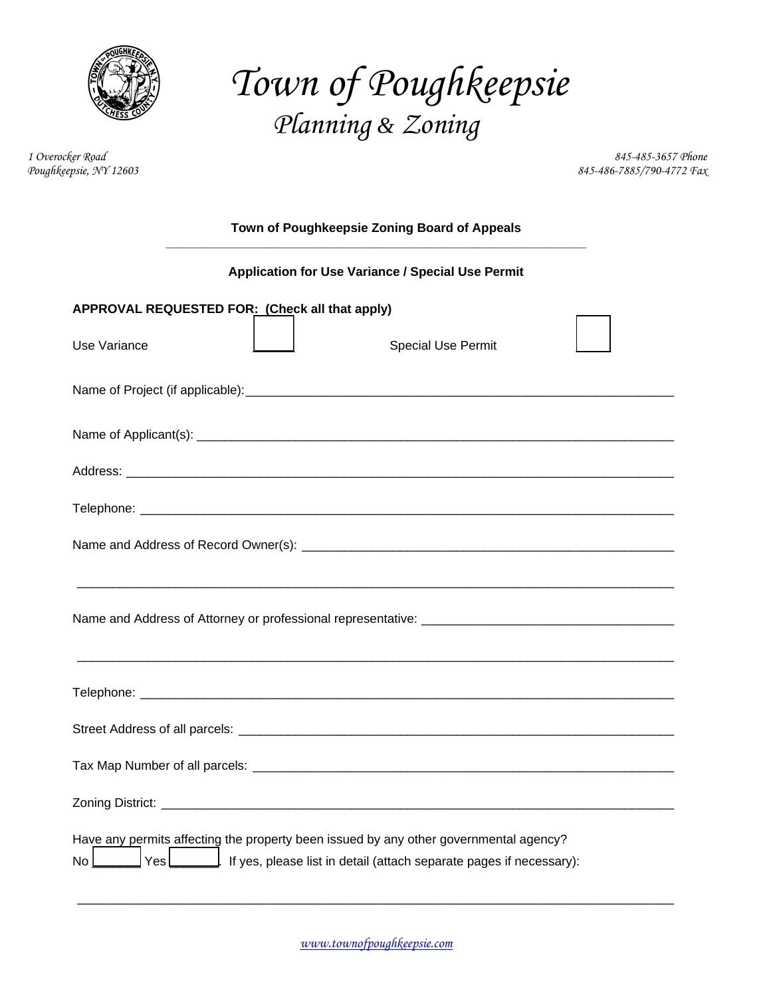

*Town of Poughkeepsie Planning & Zoning* 

*1 Overocker Road 845-485-3657 Phone Poughkeepsie, NY 12603 845-486-7885/790-4772 Fax* 

| Town of Poughkeepsie Zoning Board of Appeals                                                                                                                              |  |  |  |  |  |
|---------------------------------------------------------------------------------------------------------------------------------------------------------------------------|--|--|--|--|--|
| Application for Use Variance / Special Use Permit                                                                                                                         |  |  |  |  |  |
| APPROVAL REQUESTED FOR: (Check all that apply)                                                                                                                            |  |  |  |  |  |
| <b>Special Use Permit</b><br>Use Variance                                                                                                                                 |  |  |  |  |  |
|                                                                                                                                                                           |  |  |  |  |  |
|                                                                                                                                                                           |  |  |  |  |  |
|                                                                                                                                                                           |  |  |  |  |  |
|                                                                                                                                                                           |  |  |  |  |  |
|                                                                                                                                                                           |  |  |  |  |  |
|                                                                                                                                                                           |  |  |  |  |  |
|                                                                                                                                                                           |  |  |  |  |  |
|                                                                                                                                                                           |  |  |  |  |  |
|                                                                                                                                                                           |  |  |  |  |  |
|                                                                                                                                                                           |  |  |  |  |  |
| Have any permits affecting the property been issued by any other governmental agency?<br>Yes<br>If yes, please list in detail (attach separate pages if necessary):<br>No |  |  |  |  |  |

\_\_\_\_\_\_\_\_\_\_\_\_\_\_\_\_\_\_\_\_\_\_\_\_\_\_\_\_\_\_\_\_\_\_\_\_\_\_\_\_\_\_\_\_\_\_\_\_\_\_\_\_\_\_\_\_\_\_\_\_\_\_\_\_\_\_\_\_\_\_\_\_\_\_\_\_\_\_\_\_\_\_\_\_\_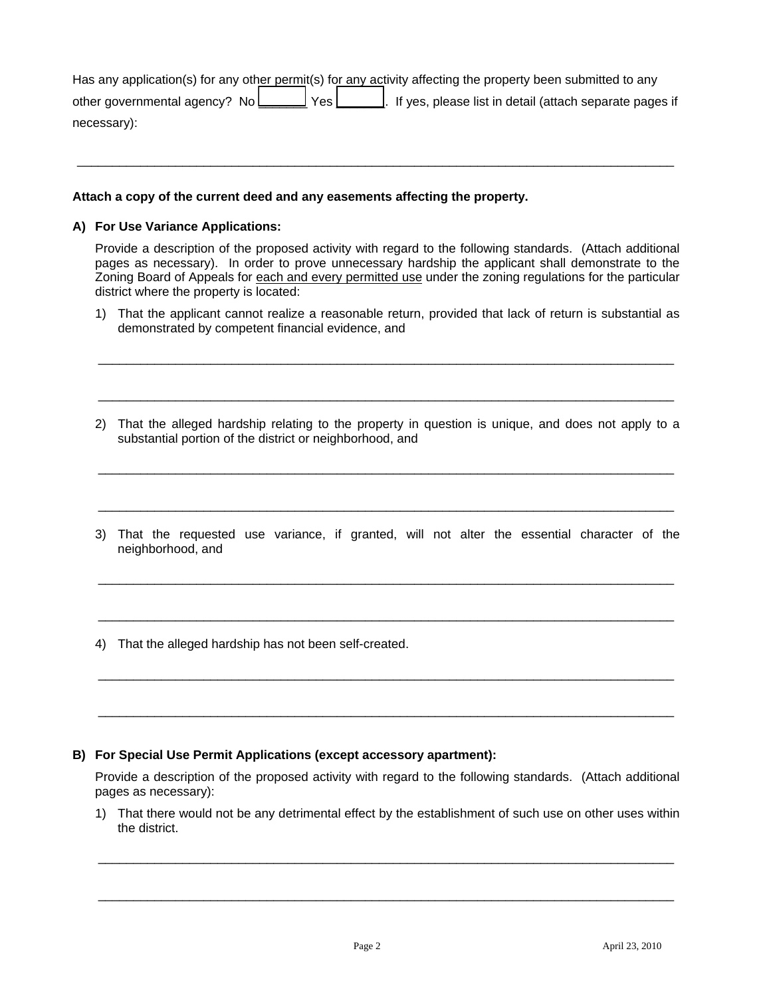| Has any application(s) for any other permit(s) for any activity affecting the property been submitted to any |
|--------------------------------------------------------------------------------------------------------------|
|                                                                                                              |
| necessary):                                                                                                  |

 $\_$  , and the set of the set of the set of the set of the set of the set of the set of the set of the set of the set of the set of the set of the set of the set of the set of the set of the set of the set of the set of th

### **Attach a copy of the current deed and any easements affecting the property.**

### **A) For Use Variance Applications:**

Provide a description of the proposed activity with regard to the following standards. (Attach additional pages as necessary). In order to prove unnecessary hardship the applicant shall demonstrate to the Zoning Board of Appeals for each and every permitted use under the zoning regulations for the particular district where the property is located:

1) That the applicant cannot realize a reasonable return, provided that lack of return is substantial as demonstrated by competent financial evidence, and

\_\_\_\_\_\_\_\_\_\_\_\_\_\_\_\_\_\_\_\_\_\_\_\_\_\_\_\_\_\_\_\_\_\_\_\_\_\_\_\_\_\_\_\_\_\_\_\_\_\_\_\_\_\_\_\_\_\_\_\_\_\_\_\_\_\_\_\_\_\_\_\_\_\_\_\_\_\_\_\_\_\_

\_\_\_\_\_\_\_\_\_\_\_\_\_\_\_\_\_\_\_\_\_\_\_\_\_\_\_\_\_\_\_\_\_\_\_\_\_\_\_\_\_\_\_\_\_\_\_\_\_\_\_\_\_\_\_\_\_\_\_\_\_\_\_\_\_\_\_\_\_\_\_\_\_\_\_\_\_\_\_\_\_\_

2) That the alleged hardship relating to the property in question is unique, and does not apply to a substantial portion of the district or neighborhood, and

\_\_\_\_\_\_\_\_\_\_\_\_\_\_\_\_\_\_\_\_\_\_\_\_\_\_\_\_\_\_\_\_\_\_\_\_\_\_\_\_\_\_\_\_\_\_\_\_\_\_\_\_\_\_\_\_\_\_\_\_\_\_\_\_\_\_\_\_\_\_\_\_\_\_\_\_\_\_\_\_\_\_

3) That the requested use variance, if granted, will not alter the essential character of the neighborhood, and

\_\_\_\_\_\_\_\_\_\_\_\_\_\_\_\_\_\_\_\_\_\_\_\_\_\_\_\_\_\_\_\_\_\_\_\_\_\_\_\_\_\_\_\_\_\_\_\_\_\_\_\_\_\_\_\_\_\_\_\_\_\_\_\_\_\_\_\_\_\_\_\_\_\_\_\_\_\_\_\_\_\_

\_\_\_\_\_\_\_\_\_\_\_\_\_\_\_\_\_\_\_\_\_\_\_\_\_\_\_\_\_\_\_\_\_\_\_\_\_\_\_\_\_\_\_\_\_\_\_\_\_\_\_\_\_\_\_\_\_\_\_\_\_\_\_\_\_\_\_\_\_\_\_\_\_\_\_\_\_\_\_\_\_\_

\_\_\_\_\_\_\_\_\_\_\_\_\_\_\_\_\_\_\_\_\_\_\_\_\_\_\_\_\_\_\_\_\_\_\_\_\_\_\_\_\_\_\_\_\_\_\_\_\_\_\_\_\_\_\_\_\_\_\_\_\_\_\_\_\_\_\_\_\_\_\_\_\_\_\_\_\_\_\_\_\_\_

\_\_\_\_\_\_\_\_\_\_\_\_\_\_\_\_\_\_\_\_\_\_\_\_\_\_\_\_\_\_\_\_\_\_\_\_\_\_\_\_\_\_\_\_\_\_\_\_\_\_\_\_\_\_\_\_\_\_\_\_\_\_\_\_\_\_\_\_\_\_\_\_\_\_\_\_\_\_\_\_\_\_

\_\_\_\_\_\_\_\_\_\_\_\_\_\_\_\_\_\_\_\_\_\_\_\_\_\_\_\_\_\_\_\_\_\_\_\_\_\_\_\_\_\_\_\_\_\_\_\_\_\_\_\_\_\_\_\_\_\_\_\_\_\_\_\_\_\_\_\_\_\_\_\_\_\_\_\_\_\_\_\_\_\_

4) That the alleged hardship has not been self-created.

#### **B) For Special Use Permit Applications (except accessory apartment):**

Provide a description of the proposed activity with regard to the following standards. (Attach additional pages as necessary):

1) That there would not be any detrimental effect by the establishment of such use on other uses within the district.

\_\_\_\_\_\_\_\_\_\_\_\_\_\_\_\_\_\_\_\_\_\_\_\_\_\_\_\_\_\_\_\_\_\_\_\_\_\_\_\_\_\_\_\_\_\_\_\_\_\_\_\_\_\_\_\_\_\_\_\_\_\_\_\_\_\_\_\_\_\_\_\_\_\_\_\_\_\_\_\_\_\_

\_\_\_\_\_\_\_\_\_\_\_\_\_\_\_\_\_\_\_\_\_\_\_\_\_\_\_\_\_\_\_\_\_\_\_\_\_\_\_\_\_\_\_\_\_\_\_\_\_\_\_\_\_\_\_\_\_\_\_\_\_\_\_\_\_\_\_\_\_\_\_\_\_\_\_\_\_\_\_\_\_\_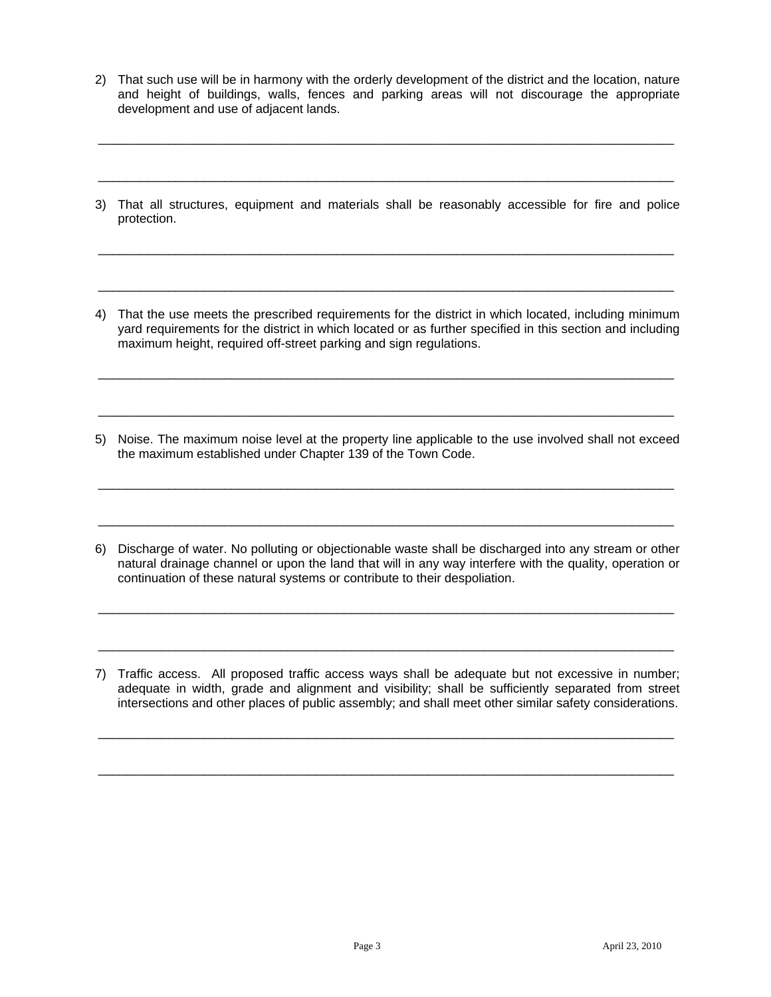2) That such use will be in harmony with the orderly development of the district and the location, nature and height of buildings, walls, fences and parking areas will not discourage the appropriate development and use of adjacent lands.

\_\_\_\_\_\_\_\_\_\_\_\_\_\_\_\_\_\_\_\_\_\_\_\_\_\_\_\_\_\_\_\_\_\_\_\_\_\_\_\_\_\_\_\_\_\_\_\_\_\_\_\_\_\_\_\_\_\_\_\_\_\_\_\_\_\_\_\_\_\_\_\_\_\_\_\_\_\_\_\_\_\_

\_\_\_\_\_\_\_\_\_\_\_\_\_\_\_\_\_\_\_\_\_\_\_\_\_\_\_\_\_\_\_\_\_\_\_\_\_\_\_\_\_\_\_\_\_\_\_\_\_\_\_\_\_\_\_\_\_\_\_\_\_\_\_\_\_\_\_\_\_\_\_\_\_\_\_\_\_\_\_\_\_\_

3) That all structures, equipment and materials shall be reasonably accessible for fire and police protection.

\_\_\_\_\_\_\_\_\_\_\_\_\_\_\_\_\_\_\_\_\_\_\_\_\_\_\_\_\_\_\_\_\_\_\_\_\_\_\_\_\_\_\_\_\_\_\_\_\_\_\_\_\_\_\_\_\_\_\_\_\_\_\_\_\_\_\_\_\_\_\_\_\_\_\_\_\_\_\_\_\_\_

\_\_\_\_\_\_\_\_\_\_\_\_\_\_\_\_\_\_\_\_\_\_\_\_\_\_\_\_\_\_\_\_\_\_\_\_\_\_\_\_\_\_\_\_\_\_\_\_\_\_\_\_\_\_\_\_\_\_\_\_\_\_\_\_\_\_\_\_\_\_\_\_\_\_\_\_\_\_\_\_\_\_

4) That the use meets the prescribed requirements for the district in which located, including minimum yard requirements for the district in which located or as further specified in this section and including maximum height, required off-street parking and sign regulations.

\_\_\_\_\_\_\_\_\_\_\_\_\_\_\_\_\_\_\_\_\_\_\_\_\_\_\_\_\_\_\_\_\_\_\_\_\_\_\_\_\_\_\_\_\_\_\_\_\_\_\_\_\_\_\_\_\_\_\_\_\_\_\_\_\_\_\_\_\_\_\_\_\_\_\_\_\_\_\_\_\_\_

\_\_\_\_\_\_\_\_\_\_\_\_\_\_\_\_\_\_\_\_\_\_\_\_\_\_\_\_\_\_\_\_\_\_\_\_\_\_\_\_\_\_\_\_\_\_\_\_\_\_\_\_\_\_\_\_\_\_\_\_\_\_\_\_\_\_\_\_\_\_\_\_\_\_\_\_\_\_\_\_\_\_

5) Noise. The maximum noise level at the property line applicable to the use involved shall not exceed the maximum established under Chapter 139 of the Town Code.

\_\_\_\_\_\_\_\_\_\_\_\_\_\_\_\_\_\_\_\_\_\_\_\_\_\_\_\_\_\_\_\_\_\_\_\_\_\_\_\_\_\_\_\_\_\_\_\_\_\_\_\_\_\_\_\_\_\_\_\_\_\_\_\_\_\_\_\_\_\_\_\_\_\_\_\_\_\_\_\_\_\_

\_\_\_\_\_\_\_\_\_\_\_\_\_\_\_\_\_\_\_\_\_\_\_\_\_\_\_\_\_\_\_\_\_\_\_\_\_\_\_\_\_\_\_\_\_\_\_\_\_\_\_\_\_\_\_\_\_\_\_\_\_\_\_\_\_\_\_\_\_\_\_\_\_\_\_\_\_\_\_\_\_\_

6) Discharge of water. No polluting or objectionable waste shall be discharged into any stream or other natural drainage channel or upon the land that will in any way interfere with the quality, operation or continuation of these natural systems or contribute to their despoliation.

\_\_\_\_\_\_\_\_\_\_\_\_\_\_\_\_\_\_\_\_\_\_\_\_\_\_\_\_\_\_\_\_\_\_\_\_\_\_\_\_\_\_\_\_\_\_\_\_\_\_\_\_\_\_\_\_\_\_\_\_\_\_\_\_\_\_\_\_\_\_\_\_\_\_\_\_\_\_\_\_\_\_

\_\_\_\_\_\_\_\_\_\_\_\_\_\_\_\_\_\_\_\_\_\_\_\_\_\_\_\_\_\_\_\_\_\_\_\_\_\_\_\_\_\_\_\_\_\_\_\_\_\_\_\_\_\_\_\_\_\_\_\_\_\_\_\_\_\_\_\_\_\_\_\_\_\_\_\_\_\_\_\_\_\_

7) Traffic access. All proposed traffic access ways shall be adequate but not excessive in number; adequate in width, grade and alignment and visibility; shall be sufficiently separated from street intersections and other places of public assembly; and shall meet other similar safety considerations.

\_\_\_\_\_\_\_\_\_\_\_\_\_\_\_\_\_\_\_\_\_\_\_\_\_\_\_\_\_\_\_\_\_\_\_\_\_\_\_\_\_\_\_\_\_\_\_\_\_\_\_\_\_\_\_\_\_\_\_\_\_\_\_\_\_\_\_\_\_\_\_\_\_\_\_\_\_\_\_\_\_\_

\_\_\_\_\_\_\_\_\_\_\_\_\_\_\_\_\_\_\_\_\_\_\_\_\_\_\_\_\_\_\_\_\_\_\_\_\_\_\_\_\_\_\_\_\_\_\_\_\_\_\_\_\_\_\_\_\_\_\_\_\_\_\_\_\_\_\_\_\_\_\_\_\_\_\_\_\_\_\_\_\_\_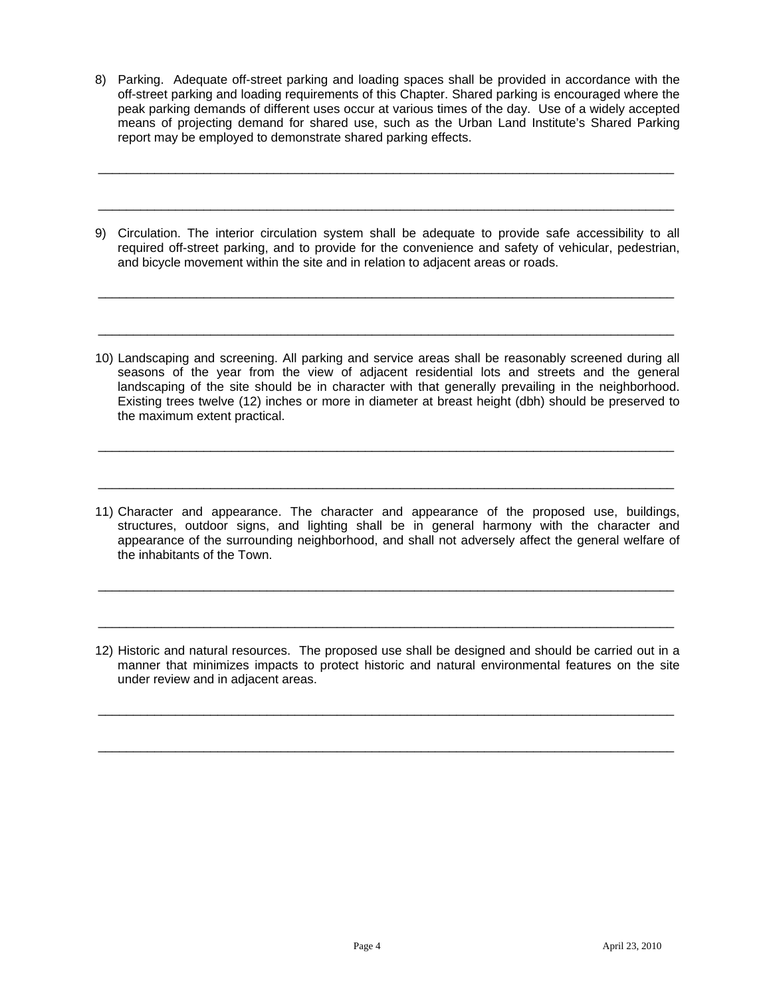8) Parking. Adequate off-street parking and loading spaces shall be provided in accordance with the off-street parking and loading requirements of this Chapter. Shared parking is encouraged where the peak parking demands of different uses occur at various times of the day. Use of a widely accepted means of projecting demand for shared use, such as the Urban Land Institute's Shared Parking report may be employed to demonstrate shared parking effects.

\_\_\_\_\_\_\_\_\_\_\_\_\_\_\_\_\_\_\_\_\_\_\_\_\_\_\_\_\_\_\_\_\_\_\_\_\_\_\_\_\_\_\_\_\_\_\_\_\_\_\_\_\_\_\_\_\_\_\_\_\_\_\_\_\_\_\_\_\_\_\_\_\_\_\_\_\_\_\_\_\_\_

\_\_\_\_\_\_\_\_\_\_\_\_\_\_\_\_\_\_\_\_\_\_\_\_\_\_\_\_\_\_\_\_\_\_\_\_\_\_\_\_\_\_\_\_\_\_\_\_\_\_\_\_\_\_\_\_\_\_\_\_\_\_\_\_\_\_\_\_\_\_\_\_\_\_\_\_\_\_\_\_\_\_

9) Circulation. The interior circulation system shall be adequate to provide safe accessibility to all required off-street parking, and to provide for the convenience and safety of vehicular, pedestrian, and bicycle movement within the site and in relation to adjacent areas or roads.

\_\_\_\_\_\_\_\_\_\_\_\_\_\_\_\_\_\_\_\_\_\_\_\_\_\_\_\_\_\_\_\_\_\_\_\_\_\_\_\_\_\_\_\_\_\_\_\_\_\_\_\_\_\_\_\_\_\_\_\_\_\_\_\_\_\_\_\_\_\_\_\_\_\_\_\_\_\_\_\_\_\_

\_\_\_\_\_\_\_\_\_\_\_\_\_\_\_\_\_\_\_\_\_\_\_\_\_\_\_\_\_\_\_\_\_\_\_\_\_\_\_\_\_\_\_\_\_\_\_\_\_\_\_\_\_\_\_\_\_\_\_\_\_\_\_\_\_\_\_\_\_\_\_\_\_\_\_\_\_\_\_\_\_\_

10) Landscaping and screening. All parking and service areas shall be reasonably screened during all seasons of the year from the view of adjacent residential lots and streets and the general landscaping of the site should be in character with that generally prevailing in the neighborhood. Existing trees twelve (12) inches or more in diameter at breast height (dbh) should be preserved to the maximum extent practical.

\_\_\_\_\_\_\_\_\_\_\_\_\_\_\_\_\_\_\_\_\_\_\_\_\_\_\_\_\_\_\_\_\_\_\_\_\_\_\_\_\_\_\_\_\_\_\_\_\_\_\_\_\_\_\_\_\_\_\_\_\_\_\_\_\_\_\_\_\_\_\_\_\_\_\_\_\_\_\_\_\_\_

\_\_\_\_\_\_\_\_\_\_\_\_\_\_\_\_\_\_\_\_\_\_\_\_\_\_\_\_\_\_\_\_\_\_\_\_\_\_\_\_\_\_\_\_\_\_\_\_\_\_\_\_\_\_\_\_\_\_\_\_\_\_\_\_\_\_\_\_\_\_\_\_\_\_\_\_\_\_\_\_\_\_

11) Character and appearance. The character and appearance of the proposed use, buildings, structures, outdoor signs, and lighting shall be in general harmony with the character and appearance of the surrounding neighborhood, and shall not adversely affect the general welfare of the inhabitants of the Town.

\_\_\_\_\_\_\_\_\_\_\_\_\_\_\_\_\_\_\_\_\_\_\_\_\_\_\_\_\_\_\_\_\_\_\_\_\_\_\_\_\_\_\_\_\_\_\_\_\_\_\_\_\_\_\_\_\_\_\_\_\_\_\_\_\_\_\_\_\_\_\_\_\_\_\_\_\_\_\_\_\_\_

\_\_\_\_\_\_\_\_\_\_\_\_\_\_\_\_\_\_\_\_\_\_\_\_\_\_\_\_\_\_\_\_\_\_\_\_\_\_\_\_\_\_\_\_\_\_\_\_\_\_\_\_\_\_\_\_\_\_\_\_\_\_\_\_\_\_\_\_\_\_\_\_\_\_\_\_\_\_\_\_\_\_

12) Historic and natural resources. The proposed use shall be designed and should be carried out in a manner that minimizes impacts to protect historic and natural environmental features on the site under review and in adjacent areas.

\_\_\_\_\_\_\_\_\_\_\_\_\_\_\_\_\_\_\_\_\_\_\_\_\_\_\_\_\_\_\_\_\_\_\_\_\_\_\_\_\_\_\_\_\_\_\_\_\_\_\_\_\_\_\_\_\_\_\_\_\_\_\_\_\_\_\_\_\_\_\_\_\_\_\_\_\_\_\_\_\_\_

\_\_\_\_\_\_\_\_\_\_\_\_\_\_\_\_\_\_\_\_\_\_\_\_\_\_\_\_\_\_\_\_\_\_\_\_\_\_\_\_\_\_\_\_\_\_\_\_\_\_\_\_\_\_\_\_\_\_\_\_\_\_\_\_\_\_\_\_\_\_\_\_\_\_\_\_\_\_\_\_\_\_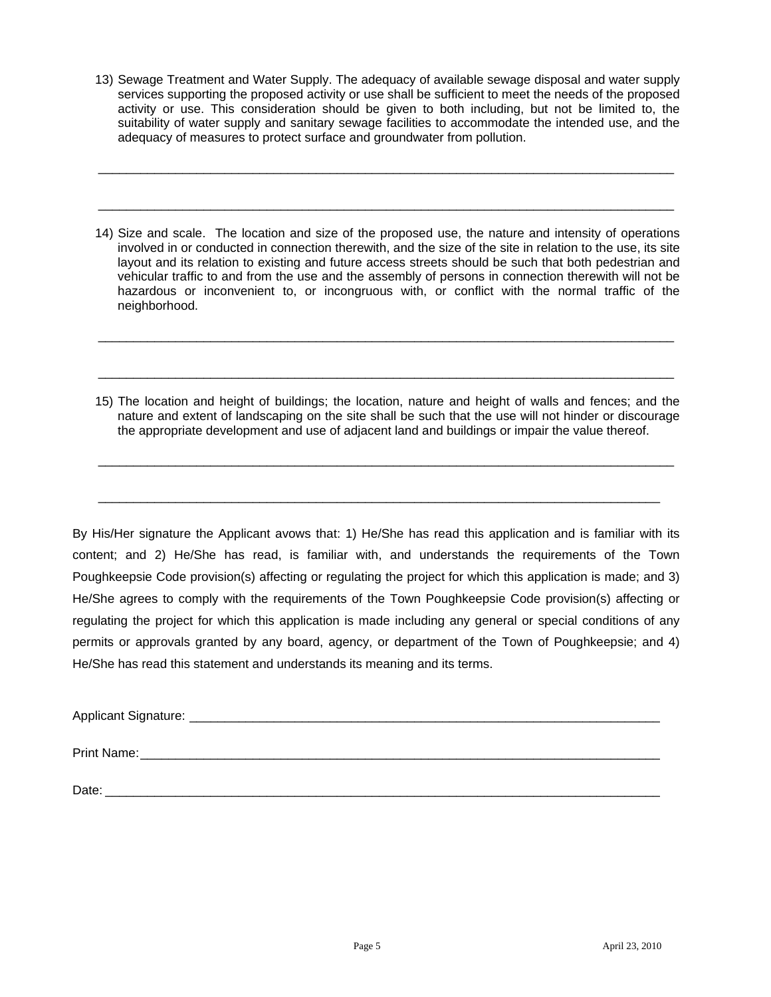13) Sewage Treatment and Water Supply. The adequacy of available sewage disposal and water supply services supporting the proposed activity or use shall be sufficient to meet the needs of the proposed activity or use. This consideration should be given to both including, but not be limited to, the suitability of water supply and sanitary sewage facilities to accommodate the intended use, and the adequacy of measures to protect surface and groundwater from pollution.

\_\_\_\_\_\_\_\_\_\_\_\_\_\_\_\_\_\_\_\_\_\_\_\_\_\_\_\_\_\_\_\_\_\_\_\_\_\_\_\_\_\_\_\_\_\_\_\_\_\_\_\_\_\_\_\_\_\_\_\_\_\_\_\_\_\_\_\_\_\_\_\_\_\_\_\_\_\_\_\_\_\_

\_\_\_\_\_\_\_\_\_\_\_\_\_\_\_\_\_\_\_\_\_\_\_\_\_\_\_\_\_\_\_\_\_\_\_\_\_\_\_\_\_\_\_\_\_\_\_\_\_\_\_\_\_\_\_\_\_\_\_\_\_\_\_\_\_\_\_\_\_\_\_\_\_\_\_\_\_\_\_\_\_\_

14) Size and scale. The location and size of the proposed use, the nature and intensity of operations involved in or conducted in connection therewith, and the size of the site in relation to the use, its site layout and its relation to existing and future access streets should be such that both pedestrian and vehicular traffic to and from the use and the assembly of persons in connection therewith will not be hazardous or inconvenient to, or incongruous with, or conflict with the normal traffic of the neighborhood.

\_\_\_\_\_\_\_\_\_\_\_\_\_\_\_\_\_\_\_\_\_\_\_\_\_\_\_\_\_\_\_\_\_\_\_\_\_\_\_\_\_\_\_\_\_\_\_\_\_\_\_\_\_\_\_\_\_\_\_\_\_\_\_\_\_\_\_\_\_\_\_\_\_\_\_\_\_\_\_\_\_\_

\_\_\_\_\_\_\_\_\_\_\_\_\_\_\_\_\_\_\_\_\_\_\_\_\_\_\_\_\_\_\_\_\_\_\_\_\_\_\_\_\_\_\_\_\_\_\_\_\_\_\_\_\_\_\_\_\_\_\_\_\_\_\_\_\_\_\_\_\_\_\_\_\_\_\_\_\_\_\_\_\_\_

15) The location and height of buildings; the location, nature and height of walls and fences; and the nature and extent of landscaping on the site shall be such that the use will not hinder or discourage the appropriate development and use of adjacent land and buildings or impair the value thereof.

\_\_\_\_\_\_\_\_\_\_\_\_\_\_\_\_\_\_\_\_\_\_\_\_\_\_\_\_\_\_\_\_\_\_\_\_\_\_\_\_\_\_\_\_\_\_\_\_\_\_\_\_\_\_\_\_\_\_\_\_\_\_\_\_\_\_\_\_\_\_\_\_\_\_\_\_\_\_\_\_\_\_

\_\_\_\_\_\_\_\_\_\_\_\_\_\_\_\_\_\_\_\_\_\_\_\_\_\_\_\_\_\_\_\_\_\_\_\_\_\_\_\_\_\_\_\_\_\_\_\_\_\_\_\_\_\_\_\_\_\_\_\_\_\_\_\_\_\_\_\_\_\_\_\_\_\_\_\_\_\_\_\_

By His/Her signature the Applicant avows that: 1) He/She has read this application and is familiar with its content; and 2) He/She has read, is familiar with, and understands the requirements of the Town Poughkeepsie Code provision(s) affecting or regulating the project for which this application is made; and 3) He/She agrees to comply with the requirements of the Town Poughkeepsie Code provision(s) affecting or regulating the project for which this application is made including any general or special conditions of any permits or approvals granted by any board, agency, or department of the Town of Poughkeepsie; and 4) He/She has read this statement and understands its meaning and its terms.

Applicant Signature:  $\blacksquare$ 

Print Name: <u>and</u> the set of the set of the set of the set of the set of the set of the set of the set of the set of the set of the set of the set of the set of the set of the set of the set of the set of the set of the se

Date:  $\Box$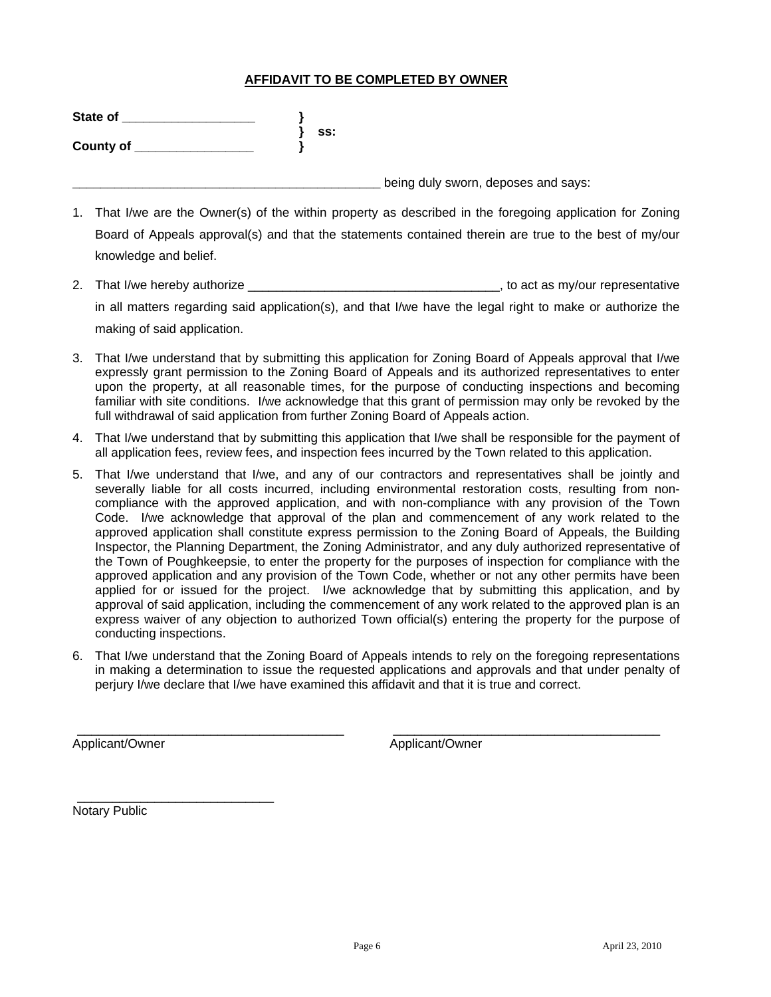# **AFFIDAVIT TO BE COMPLETED BY OWNER**

| State of  |     |                                     |
|-----------|-----|-------------------------------------|
|           | SS: |                                     |
| County of |     |                                     |
|           |     |                                     |
|           |     | being duly sworn, deposes and says: |

- 1. That I/we are the Owner(s) of the within property as described in the foregoing application for Zoning Board of Appeals approval(s) and that the statements contained therein are true to the best of my/our knowledge and belief.
- 2. That I/we hereby authorize **Exercise 2.** That I/we hereby authorize in all matters regarding said application(s), and that I/we have the legal right to make or authorize the making of said application.
- 3. That I/we understand that by submitting this application for Zoning Board of Appeals approval that I/we expressly grant permission to the Zoning Board of Appeals and its authorized representatives to enter upon the property, at all reasonable times, for the purpose of conducting inspections and becoming familiar with site conditions. I/we acknowledge that this grant of permission may only be revoked by the full withdrawal of said application from further Zoning Board of Appeals action.
- 4. That I/we understand that by submitting this application that I/we shall be responsible for the payment of all application fees, review fees, and inspection fees incurred by the Town related to this application.
- 5. That I/we understand that I/we, and any of our contractors and representatives shall be jointly and severally liable for all costs incurred, including environmental restoration costs, resulting from noncompliance with the approved application, and with non-compliance with any provision of the Town Code. I/we acknowledge that approval of the plan and commencement of any work related to the approved application shall constitute express permission to the Zoning Board of Appeals, the Building Inspector, the Planning Department, the Zoning Administrator, and any duly authorized representative of the Town of Poughkeepsie, to enter the property for the purposes of inspection for compliance with the approved application and any provision of the Town Code, whether or not any other permits have been applied for or issued for the project. I/we acknowledge that by submitting this application, and by approval of said application, including the commencement of any work related to the approved plan is an express waiver of any objection to authorized Town official(s) entering the property for the purpose of conducting inspections.
- 6. That I/we understand that the Zoning Board of Appeals intends to rely on the foregoing representations in making a determination to issue the requested applications and approvals and that under penalty of perjury I/we declare that I/we have examined this affidavit and that it is true and correct.

\_\_\_\_\_\_\_\_\_\_\_\_\_\_\_\_\_\_\_\_\_\_\_\_\_\_\_\_\_\_\_\_\_\_\_\_\_\_ \_\_\_\_\_\_\_\_\_\_\_\_\_\_\_\_\_\_\_\_\_\_\_\_\_\_\_\_\_\_\_\_\_\_\_\_\_\_

Applicant/Owner Applicant/Owner Applicant/Owner

\_\_\_\_\_\_\_\_\_\_\_\_\_\_\_\_\_\_\_\_\_\_\_\_\_\_\_\_ Notary Public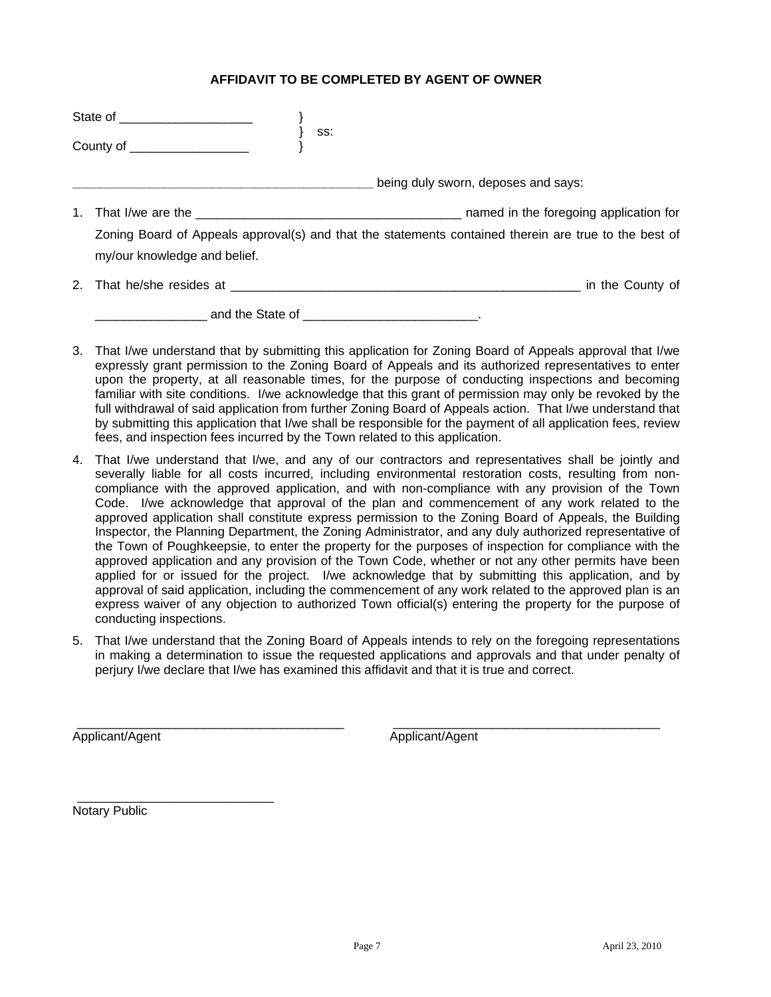# **AFFIDAVIT TO BE COMPLETED BY AGENT OF OWNER**

| being duly sworn, deposes and says:                                                                   |
|-------------------------------------------------------------------------------------------------------|
|                                                                                                       |
| Zoning Board of Appeals approval(s) and that the statements contained therein are true to the best of |
|                                                                                                       |
|                                                                                                       |
|                                                                                                       |

- 3. That I/we understand that by submitting this application for Zoning Board of Appeals approval that I/we expressly grant permission to the Zoning Board of Appeals and its authorized representatives to enter upon the property, at all reasonable times, for the purpose of conducting inspections and becoming familiar with site conditions. I/we acknowledge that this grant of permission may only be revoked by the full withdrawal of said application from further Zoning Board of Appeals action. That I/we understand that by submitting this application that I/we shall be responsible for the payment of all application fees, review fees, and inspection fees incurred by the Town related to this application.
- 4. That I/we understand that I/we, and any of our contractors and representatives shall be jointly and severally liable for all costs incurred, including environmental restoration costs, resulting from noncompliance with the approved application, and with non-compliance with any provision of the Town Code. I/we acknowledge that approval of the plan and commencement of any work related to the approved application shall constitute express permission to the Zoning Board of Appeals, the Building Inspector, the Planning Department, the Zoning Administrator, and any duly authorized representative of the Town of Poughkeepsie, to enter the property for the purposes of inspection for compliance with the approved application and any provision of the Town Code, whether or not any other permits have been applied for or issued for the project. I/we acknowledge that by submitting this application, and by approval of said application, including the commencement of any work related to the approved plan is an express waiver of any objection to authorized Town official(s) entering the property for the purpose of conducting inspections.
- 5. That I/we understand that the Zoning Board of Appeals intends to rely on the foregoing representations in making a determination to issue the requested applications and approvals and that under penalty of perjury I/we declare that I/we has examined this affidavit and that it is true and correct.

\_\_\_\_\_\_\_\_\_\_\_\_\_\_\_\_\_\_\_\_\_\_\_\_\_\_\_\_\_\_\_\_\_\_\_\_\_\_ \_\_\_\_\_\_\_\_\_\_\_\_\_\_\_\_\_\_\_\_\_\_\_\_\_\_\_\_\_\_\_\_\_\_\_\_\_\_

Applicant/Agent Applicant/Agent

Notary Public

\_\_\_\_\_\_\_\_\_\_\_\_\_\_\_\_\_\_\_\_\_\_\_\_\_\_\_\_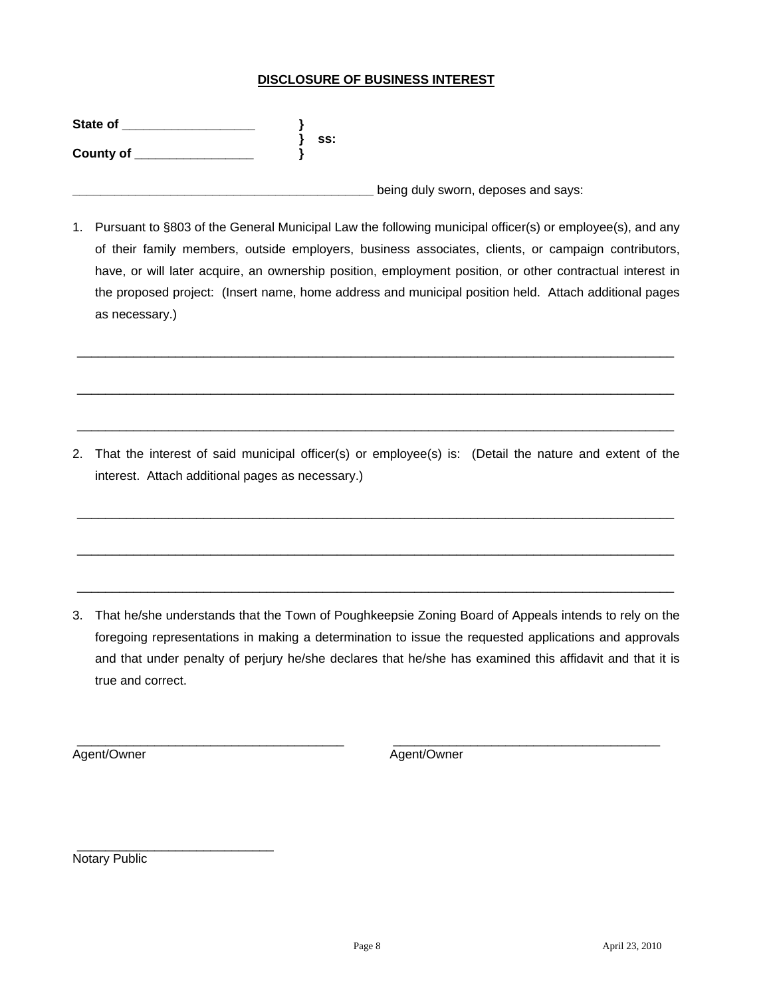# **DISCLOSURE OF BUSINESS INTEREST**

| State of  |     |
|-----------|-----|
|           | SS: |
| County of |     |
|           |     |

1. Pursuant to §803 of the General Municipal Law the following municipal officer(s) or employee(s), and any of their family members, outside employers, business associates, clients, or campaign contributors, have, or will later acquire, an ownership position, employment position, or other contractual interest in the proposed project: (Insert name, home address and municipal position held. Attach additional pages as necessary.)

\_\_\_\_\_\_\_\_\_\_\_\_\_\_\_\_\_\_\_\_\_\_\_\_\_\_\_\_\_\_\_\_\_\_\_\_\_\_\_\_\_\_\_\_\_\_\_\_\_\_\_\_\_\_\_\_\_\_\_\_\_\_\_\_\_\_\_\_\_\_\_\_\_\_\_\_\_\_\_\_\_\_\_\_\_

\_\_\_\_\_\_\_\_\_\_\_\_\_\_\_\_\_\_\_\_\_\_\_\_\_\_\_\_\_\_\_\_\_\_\_\_\_\_\_\_\_\_\_\_\_\_\_\_\_\_\_\_\_\_\_\_\_\_\_\_\_\_\_\_\_\_\_\_\_\_\_\_\_\_\_\_\_\_\_\_\_\_\_\_\_

\_\_\_\_\_\_\_\_\_\_\_\_\_\_\_\_\_\_\_\_\_\_\_\_\_\_\_\_\_\_\_\_\_\_\_\_\_\_\_\_\_\_\_\_\_\_\_\_\_\_\_\_\_\_\_\_\_\_\_\_\_\_\_\_\_\_\_\_\_\_\_\_\_\_\_\_\_\_\_\_\_\_\_\_\_

**\_\_\_\_\_\_\_\_\_\_\_\_\_\_\_\_\_\_\_\_\_\_\_\_\_\_\_\_\_\_\_\_\_\_\_\_\_\_\_\_\_\_\_** being duly sworn, deposes and says:

2. That the interest of said municipal officer(s) or employee(s) is: (Detail the nature and extent of the interest. Attach additional pages as necessary.)

\_\_\_\_\_\_\_\_\_\_\_\_\_\_\_\_\_\_\_\_\_\_\_\_\_\_\_\_\_\_\_\_\_\_\_\_\_\_\_\_\_\_\_\_\_\_\_\_\_\_\_\_\_\_\_\_\_\_\_\_\_\_\_\_\_\_\_\_\_\_\_\_\_\_\_\_\_\_\_\_\_\_\_\_\_

\_\_\_\_\_\_\_\_\_\_\_\_\_\_\_\_\_\_\_\_\_\_\_\_\_\_\_\_\_\_\_\_\_\_\_\_\_\_\_\_\_\_\_\_\_\_\_\_\_\_\_\_\_\_\_\_\_\_\_\_\_\_\_\_\_\_\_\_\_\_\_\_\_\_\_\_\_\_\_\_\_\_\_\_\_

\_\_\_\_\_\_\_\_\_\_\_\_\_\_\_\_\_\_\_\_\_\_\_\_\_\_\_\_\_\_\_\_\_\_\_\_\_\_\_\_\_\_\_\_\_\_\_\_\_\_\_\_\_\_\_\_\_\_\_\_\_\_\_\_\_\_\_\_\_\_\_\_\_\_\_\_\_\_\_\_\_\_\_\_\_

3. That he/she understands that the Town of Poughkeepsie Zoning Board of Appeals intends to rely on the foregoing representations in making a determination to issue the requested applications and approvals and that under penalty of perjury he/she declares that he/she has examined this affidavit and that it is true and correct.

\_\_\_\_\_\_\_\_\_\_\_\_\_\_\_\_\_\_\_\_\_\_\_\_\_\_\_\_\_\_\_\_\_\_\_\_\_\_ \_\_\_\_\_\_\_\_\_\_\_\_\_\_\_\_\_\_\_\_\_\_\_\_\_\_\_\_\_\_\_\_\_\_\_\_\_\_

Agent/Owner **Agent/Owner** Agent/Owner

\_\_\_\_\_\_\_\_\_\_\_\_\_\_\_\_\_\_\_\_\_\_\_\_\_\_\_\_ Notary Public